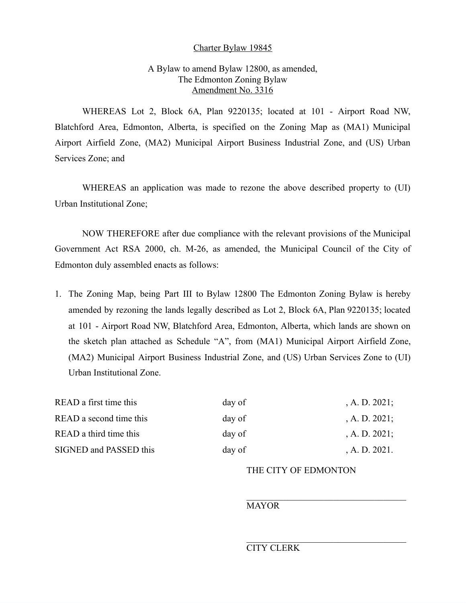#### Charter Bylaw 19845

# A Bylaw to amend Bylaw 12800, as amended, The Edmonton Zoning Bylaw Amendment No. 3316

WHEREAS Lot 2, Block 6A, Plan 9220135; located at 101 - Airport Road NW, Blatchford Area, Edmonton, Alberta, is specified on the Zoning Map as (MA1) Municipal Airport Airfield Zone, (MA2) Municipal Airport Business Industrial Zone, and (US) Urban Services Zone; and

WHEREAS an application was made to rezone the above described property to (UI) Urban Institutional Zone;

NOW THEREFORE after due compliance with the relevant provisions of the Municipal Government Act RSA 2000, ch. M-26, as amended, the Municipal Council of the City of Edmonton duly assembled enacts as follows:

1. The Zoning Map, being Part III to Bylaw 12800 The Edmonton Zoning Bylaw is hereby amended by rezoning the lands legally described as Lot 2, Block 6A, Plan 9220135; located at 101 - Airport Road NW, Blatchford Area, Edmonton, Alberta, which lands are shown on the sketch plan attached as Schedule "A", from (MA1) Municipal Airport Airfield Zone, (MA2) Municipal Airport Business Industrial Zone, and (US) Urban Services Zone to (UI) Urban Institutional Zone.

| READ a first time this  | day of | , A. D. $2021$ ; |
|-------------------------|--------|------------------|
| READ a second time this | day of | , A. D. $2021$ ; |
| READ a third time this  | day of | , A. D. $2021$ ; |
| SIGNED and PASSED this  | day of | , A. D. $2021$ . |

## THE CITY OF EDMONTON

### MAYOR

## CITY CLERK